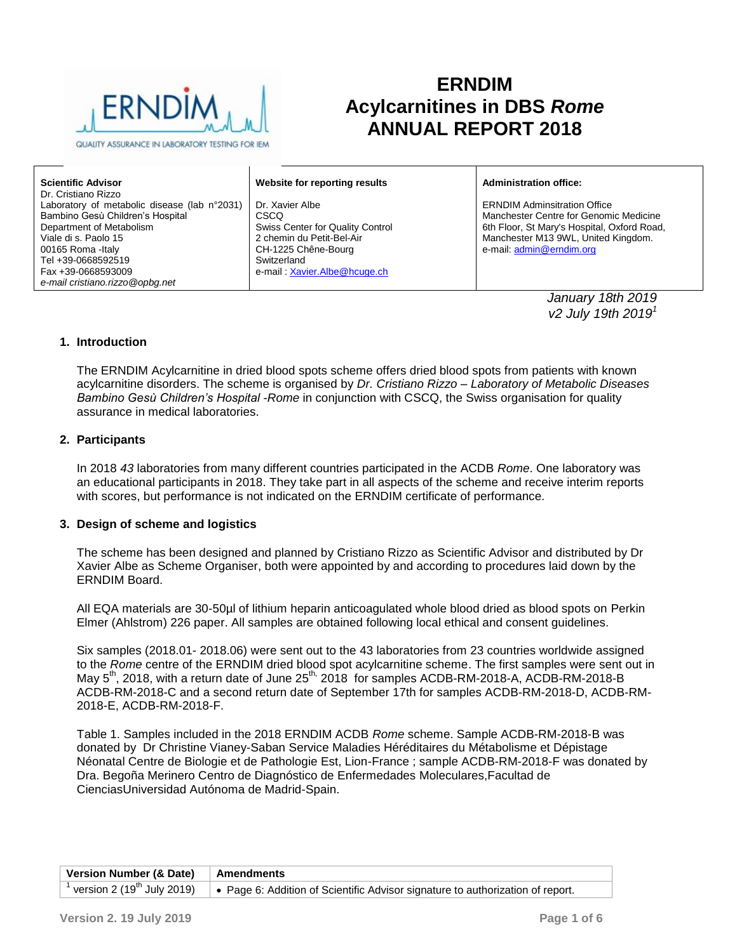

QUALITY ASSURANCE IN LABORATORY TESTING FOR IEM

# **ERNDIM Acylcarnitines in DBS** *Rome* **ANNUAL REPORT 2018**

**Scientific Advisor** Dr. Cristiano Rizzo Laboratory of metabolic disease (lab n°2031) Bambino Gesù Children's Hospital Department of Metabolism Viale di s. Paolo 15 00165 Roma -Italy Tel +39-0668592519 Fax +39-0668593009 *e-mail cristiano.rizzo@opbg.net*

**Website for reporting results**

Dr. Xavier Albe **CSCQ** Swiss Center for Quality Control 2 chemin du Petit-Bel-Air CH-1225 Chêne-Bourg **Switzerland** e-mail : [Xavier.Albe@hcuge.ch](mailto:Xavier.Albe@hcuge.ch)

**Administration office:**

ERNDIM Adminsitration Office Manchester Centre for Genomic Medicine 6th Floor, St Mary's Hospital, Oxford Road, Manchester M13 9WL, United Kingdom. e-mail: [admin@erndim.org](mailto:admin@erndim.org)

> *January 18th 2019 v2 July 19th 2019<sup>1</sup>*

#### **1. Introduction**

The ERNDIM Acylcarnitine in dried blood spots scheme offers dried blood spots from patients with known acylcarnitine disorders. The scheme is organised by *Dr. Cristiano Rizzo – Laboratory of Metabolic Diseases Bambino Gesù Children's Hospital -Rome* in conjunction with CSCQ, the Swiss organisation for quality assurance in medical laboratories.

#### **2. Participants**

In 2018 *43* laboratories from many different countries participated in the ACDB *Rome*. One laboratory was an educational participants in 2018. They take part in all aspects of the scheme and receive interim reports with scores, but performance is not indicated on the ERNDIM certificate of performance.

#### **3. Design of scheme and logistics**

The scheme has been designed and planned by Cristiano Rizzo as Scientific Advisor and distributed by Dr Xavier Albe as Scheme Organiser, both were appointed by and according to procedures laid down by the ERNDIM Board.

All EQA materials are 30-50µl of lithium heparin anticoagulated whole blood dried as blood spots on Perkin Elmer (Ahlstrom) 226 paper. All samples are obtained following local ethical and consent guidelines.

Six samples (2018.01- 2018.06) were sent out to the 43 laboratories from 23 countries worldwide assigned to the *Rome* centre of the ERNDIM dried blood spot acylcarnitine scheme. The first samples were sent out in May 5<sup>th</sup>, 2018, with a return date of June 25<sup>th,</sup> 2018 for samples ACDB-RM-2018-A, ACDB-RM-2018-B ACDB-RM-2018-C and a second return date of September 17th for samples ACDB-RM-2018-D, ACDB-RM-2018-E, ACDB-RM-2018-F.

Table 1. Samples included in the 2018 ERNDIM ACDB *Rome* scheme. Sample ACDB-RM-2018-B was donated by Dr Christine Vianey-Saban Service Maladies Héréditaires du Métabolisme et Dépistage Néonatal Centre de Biologie et de Pathologie Est, Lion-France ; sample ACDB-RM-2018-F was donated by Dra. Begoña Merinero Centro de Diagnóstico de Enfermedades Moleculares,Facultad de CienciasUniversidad Autónoma de Madrid-Spain.

| Version Number (& Date) Amendments |                                                                                                                                          |
|------------------------------------|------------------------------------------------------------------------------------------------------------------------------------------|
|                                    | <sup>1</sup> version 2 (19 <sup>th</sup> July 2019) $\cdot$ Page 6: Addition of Scientific Advisor signature to authorization of report. |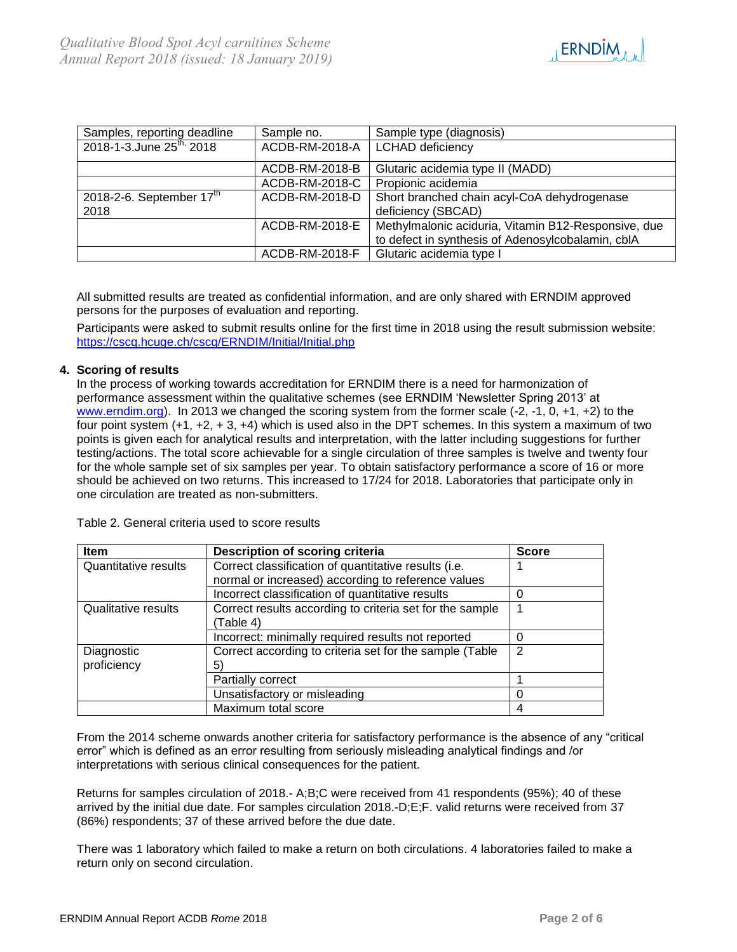

| Samples, reporting deadline           | Sample no.     | Sample type (diagnosis)                             |
|---------------------------------------|----------------|-----------------------------------------------------|
| 2018-1-3. June 25 <sup>th,</sup> 2018 | ACDB-RM-2018-A | <b>LCHAD</b> deficiency                             |
|                                       | ACDB-RM-2018-B | Glutaric acidemia type II (MADD)                    |
|                                       | ACDB-RM-2018-C | Propionic acidemia                                  |
| 2018-2-6. September $17th$            | ACDB-RM-2018-D | Short branched chain acyl-CoA dehydrogenase         |
| 2018                                  |                | deficiency (SBCAD)                                  |
|                                       | ACDB-RM-2018-E | Methylmalonic aciduria, Vitamin B12-Responsive, due |
|                                       |                | to defect in synthesis of Adenosylcobalamin, cblA   |
|                                       | ACDB-RM-2018-F | Glutaric acidemia type I                            |

All submitted results are treated as confidential information, and are only shared with ERNDIM approved persons for the purposes of evaluation and reporting.

Participants were asked to submit results online for the first time in 2018 using the result submission website: <https://cscq.hcuge.ch/cscq/ERNDIM/Initial/Initial.php>

## **4. Scoring of results**

In the process of working towards accreditation for ERNDIM there is a need for harmonization of performance assessment within the qualitative schemes (see ERNDIM 'Newsletter Spring 2013' at [www.erndim.org\)](http://www.erndim.org/). In 2013 we changed the scoring system from the former scale (-2, -1, 0, +1, +2) to the four point system (+1, +2, + 3, +4) which is used also in the DPT schemes. In this system a maximum of two points is given each for analytical results and interpretation, with the latter including suggestions for further testing/actions. The total score achievable for a single circulation of three samples is twelve and twenty four for the whole sample set of six samples per year. To obtain satisfactory performance a score of 16 or more should be achieved on two returns. This increased to 17/24 for 2018. Laboratories that participate only in one circulation are treated as non-submitters.

Table 2. General criteria used to score results

| <b>Item</b>                | Description of scoring criteria                          | <b>Score</b> |
|----------------------------|----------------------------------------------------------|--------------|
| Quantitative results       | Correct classification of quantitative results (i.e.     |              |
|                            | normal or increased) according to reference values       |              |
|                            | Incorrect classification of quantitative results         |              |
| <b>Qualitative results</b> | Correct results according to criteria set for the sample |              |
|                            | (Table 4)                                                |              |
|                            | Incorrect: minimally required results not reported       |              |
| Diagnostic                 | Correct according to criteria set for the sample (Table  | 2            |
| proficiency                | 5)                                                       |              |
|                            | Partially correct                                        |              |
|                            | Unsatisfactory or misleading                             |              |
|                            | Maximum total score                                      |              |

From the 2014 scheme onwards another criteria for satisfactory performance is the absence of any "critical error" which is defined as an error resulting from seriously misleading analytical findings and /or interpretations with serious clinical consequences for the patient.

Returns for samples circulation of 2018.- A;B;C were received from 41 respondents (95%); 40 of these arrived by the initial due date. For samples circulation 2018.-D;E;F. valid returns were received from 37 (86%) respondents; 37 of these arrived before the due date.

There was 1 laboratory which failed to make a return on both circulations. 4 laboratories failed to make a return only on second circulation.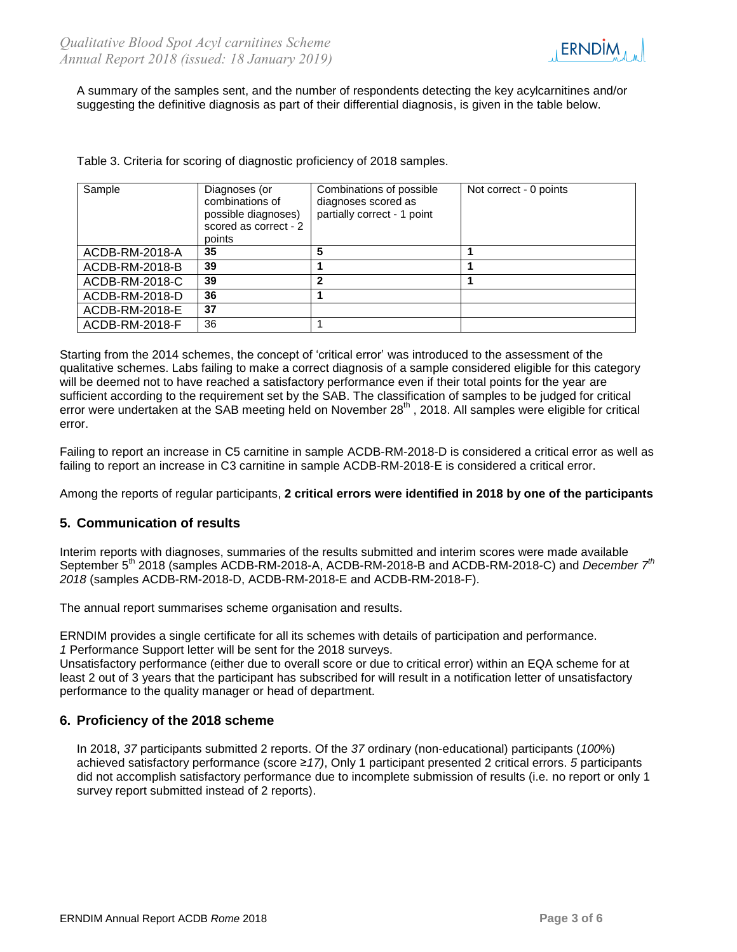

A summary of the samples sent, and the number of respondents detecting the key acylcarnitines and/or suggesting the definitive diagnosis as part of their differential diagnosis, is given in the table below.

Table 3. Criteria for scoring of diagnostic proficiency of 2018 samples.

| Sample         | Diagnoses (or<br>combinations of<br>possible diagnoses)<br>scored as correct - 2<br>points | Combinations of possible<br>diagnoses scored as<br>partially correct - 1 point | Not correct - 0 points |
|----------------|--------------------------------------------------------------------------------------------|--------------------------------------------------------------------------------|------------------------|
| ACDB-RM-2018-A | 35                                                                                         | 5                                                                              |                        |
| ACDB-RM-2018-B | 39                                                                                         |                                                                                |                        |
| ACDB-RM-2018-C | 39                                                                                         | $\mathbf 2$                                                                    |                        |
| ACDB-RM-2018-D | 36                                                                                         |                                                                                |                        |
| ACDB-RM-2018-E | 37                                                                                         |                                                                                |                        |
| ACDB-RM-2018-F | 36                                                                                         |                                                                                |                        |

Starting from the 2014 schemes, the concept of 'critical error' was introduced to the assessment of the qualitative schemes. Labs failing to make a correct diagnosis of a sample considered eligible for this category will be deemed not to have reached a satisfactory performance even if their total points for the year are sufficient according to the requirement set by the SAB. The classification of samples to be judged for critical error were undertaken at the SAB meeting held on November 28<sup>th</sup>, 2018. All samples were eligible for critical error.

Failing to report an increase in C5 carnitine in sample ACDB-RM-2018-D is considered a critical error as well as failing to report an increase in C3 carnitine in sample ACDB-RM-2018-E is considered a critical error.

Among the reports of regular participants, **2 critical errors were identified in 2018 by one of the participants**

# **5. Communication of results**

Interim reports with diagnoses, summaries of the results submitted and interim scores were made available September 5<sup>th</sup> 2018 (samples ACDB-RM-2018-A, ACDB-RM-2018-B and ACDB-RM-2018-C) and *December* 7<sup>th</sup> *2018* (samples ACDB-RM-2018-D, ACDB-RM-2018-E and ACDB-RM-2018-F).

The annual report summarises scheme organisation and results.

ERNDIM provides a single certificate for all its schemes with details of participation and performance. *1* Performance Support letter will be sent for the 2018 surveys.

Unsatisfactory performance (either due to overall score or due to critical error) within an EQA scheme for at least 2 out of 3 years that the participant has subscribed for will result in a notification letter of unsatisfactory performance to the quality manager or head of department.

# **6. Proficiency of the 2018 scheme**

In 2018, *37* participants submitted 2 reports. Of the *37* ordinary (non-educational) participants (*100*%) achieved satisfactory performance (score ≥*17)*, Only 1 participant presented 2 critical errors. *5* participants did not accomplish satisfactory performance due to incomplete submission of results (i.e. no report or only 1 survey report submitted instead of 2 reports).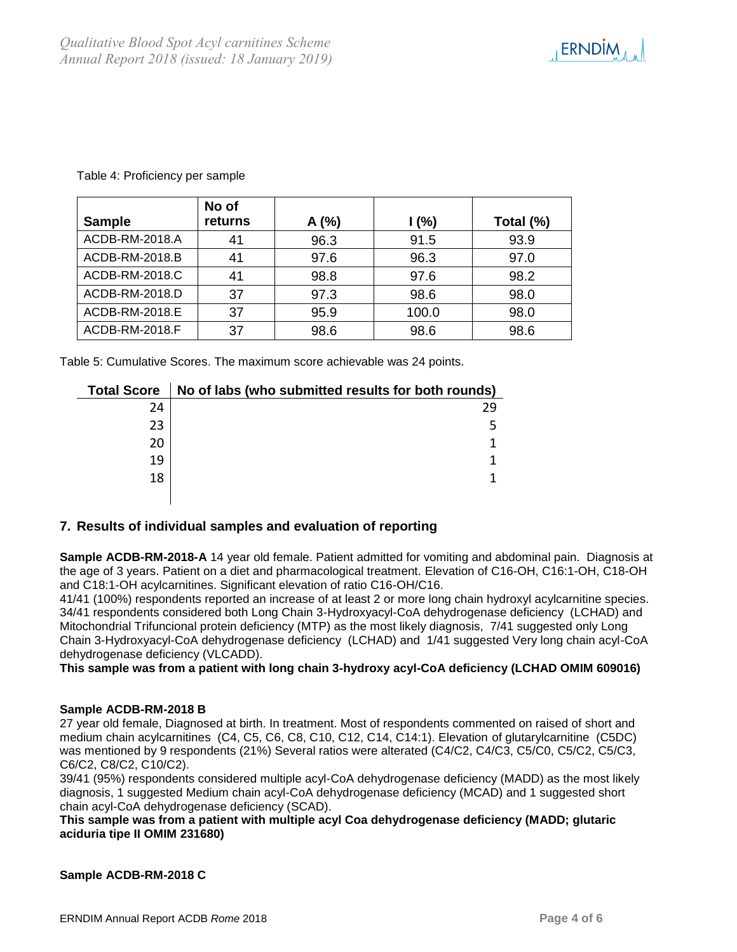

| <b>Sample</b>  | No of<br>returns | A(%) | 1(%)  | Total (%) |
|----------------|------------------|------|-------|-----------|
| ACDB-RM-2018.A | 41               | 96.3 | 91.5  | 93.9      |
| ACDB-RM-2018.B | 41               | 97.6 | 96.3  | 97.0      |
| ACDB-RM-2018.C | 41               | 98.8 | 97.6  | 98.2      |
| ACDB-RM-2018.D | 37               | 97.3 | 98.6  | 98.0      |
| ACDB-RM-2018.E | 37               | 95.9 | 100.0 | 98.0      |
| ACDB-RM-2018.F | 37               | 98.6 | 98.6  | 98.6      |

Table 4: Proficiency per sample

Table 5: Cumulative Scores. The maximum score achievable was 24 points.

| <b>Total Score</b> | No of labs (who submitted results for both rounds) |
|--------------------|----------------------------------------------------|
| 24                 | 29                                                 |
| 23                 |                                                    |
| 20                 |                                                    |
| 19                 |                                                    |
| 18                 |                                                    |
|                    |                                                    |

# **7. Results of individual samples and evaluation of reporting**

**Sample ACDB-RM-2018-A** 14 year old female. Patient admitted for vomiting and abdominal pain. Diagnosis at the age of 3 years. Patient on a diet and pharmacological treatment. Elevation of C16-OH, C16:1-OH, C18-OH and C18:1-OH acylcarnitines. Significant elevation of ratio C16-OH/C16.

41/41 (100%) respondents reported an increase of at least 2 or more long chain hydroxyl acylcarnitine species. 34/41 respondents considered both Long Chain 3-Hydroxyacyl-CoA dehydrogenase deficiency (LCHAD) and Mitochondrial Trifuncional protein deficiency (MTP) as the most likely diagnosis, 7/41 suggested only Long Chain 3-Hydroxyacyl-CoA dehydrogenase deficiency (LCHAD) and 1/41 suggested Very long chain acyl-CoA dehydrogenase deficiency (VLCADD).

#### **This sample was from a patient with long chain 3-hydroxy acyl-CoA deficiency (LCHAD OMIM 609016)**

#### **Sample ACDB-RM-2018 B**

27 year old female, Diagnosed at birth. In treatment. Most of respondents commented on raised of short and medium chain acylcarnitines (C4, C5, C6, C8, C10, C12, C14, C14:1). Elevation of glutarylcarnitine (C5DC) was mentioned by 9 respondents (21%) Several ratios were alterated (C4/C2, C4/C3, C5/C0, C5/C2, C5/C3, C6/C2, C8/C2, C10/C2).

39/41 (95%) respondents considered multiple acyl-CoA dehydrogenase deficiency (MADD) as the most likely diagnosis, 1 suggested Medium chain acyl-CoA dehydrogenase deficiency (MCAD) and 1 suggested short chain acyl-CoA dehydrogenase deficiency (SCAD).

**This sample was from a patient with multiple acyl Coa dehydrogenase deficiency (MADD; glutaric aciduria tipe II OMIM 231680)**

**Sample ACDB-RM-2018 C**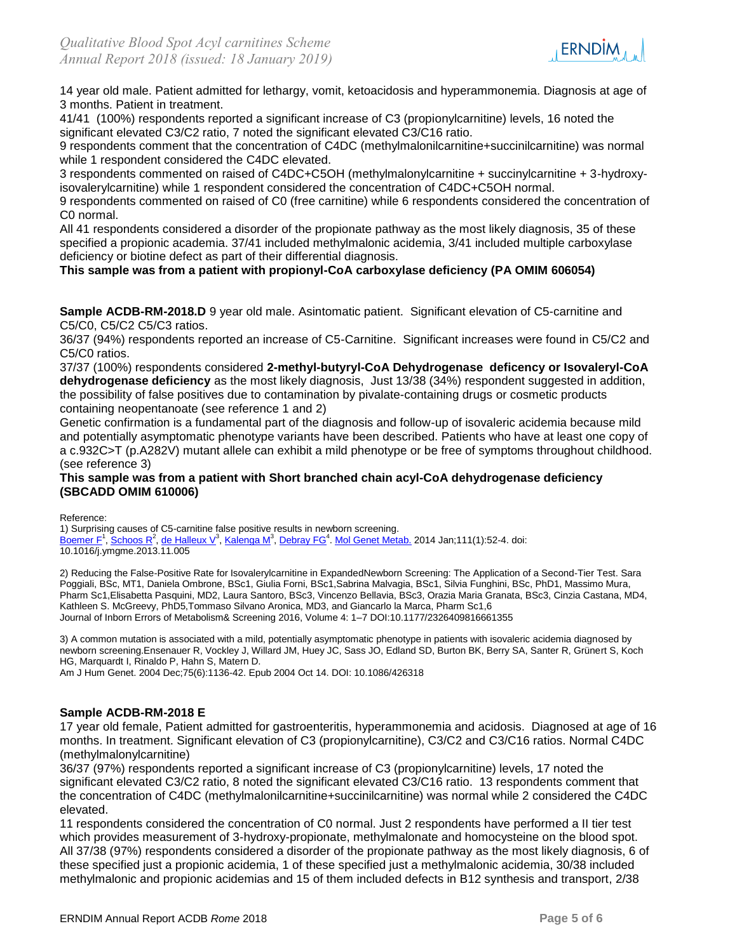

14 year old male. Patient admitted for lethargy, vomit, ketoacidosis and hyperammonemia. Diagnosis at age of 3 months. Patient in treatment.

41/41 (100%) respondents reported a significant increase of C3 (propionylcarnitine) levels, 16 noted the significant elevated C3/C2 ratio, 7 noted the significant elevated C3/C16 ratio.

9 respondents comment that the concentration of C4DC (methylmalonilcarnitine+succinilcarnitine) was normal while 1 respondent considered the C4DC elevated.

3 respondents commented on raised of C4DC+C5OH (methylmalonylcarnitine + succinylcarnitine + 3-hydroxyisovalerylcarnitine) while 1 respondent considered the concentration of C4DC+C5OH normal.

9 respondents commented on raised of C0 (free carnitine) while 6 respondents considered the concentration of C0 normal.

All 41 respondents considered a disorder of the propionate pathway as the most likely diagnosis, 35 of these specified a propionic academia. 37/41 included methylmalonic acidemia, 3/41 included multiple carboxylase deficiency or biotine defect as part of their differential diagnosis.

## **This sample was from a patient with propionyl-CoA carboxylase deficiency (PA OMIM 606054)**

**Sample ACDB-RM-2018.D** 9 year old male. Asintomatic patient. Significant elevation of C5-carnitine and C5/C0, C5/C2 C5/C3 ratios.

36/37 (94%) respondents reported an increase of C5-Carnitine. Significant increases were found in C5/C2 and C5/C0 ratios.

37/37 (100%) respondents considered **2-methyl-butyryl-CoA Dehydrogenase deficency or Isovaleryl-CoA dehydrogenase deficiency** as the most likely diagnosis, Just 13/38 (34%) respondent suggested in addition, the possibility of false positives due to contamination by pivalate-containing drugs or cosmetic products containing neopentanoate (see reference 1 and 2)

Genetic confirmation is a fundamental part of the diagnosis and follow-up of isovaleric acidemia because mild and potentially asymptomatic phenotype variants have been described. Patients who have at least one copy of a c.932C>T (p.A282V) mutant allele can exhibit a mild phenotype or be free of symptoms throughout childhood. (see reference 3)

#### **This sample was from a patient with Short branched chain acyl-CoA dehydrogenase deficiency (SBCADD OMIM 610006)**

Reference:

1) Surprising causes of C5-carnitine false positive results in newborn screening. [Boemer F](https://www.ncbi.nlm.nih.gov/pubmed/?term=Boemer%20F%5BAuthor%5D&cauthor=true&cauthor_uid=24291264)<sup>1</sup>, [Schoos R](https://www.ncbi.nlm.nih.gov/pubmed/?term=Schoos%20R%5BAuthor%5D&cauthor=true&cauthor_uid=24291264)<sup>2</sup>, [de Halleux V](https://www.ncbi.nlm.nih.gov/pubmed/?term=de%20Halleux%20V%5BAuthor%5D&cauthor=true&cauthor_uid=24291264)<sup>3</sup>, [Kalenga M](https://www.ncbi.nlm.nih.gov/pubmed/?term=Kalenga%20M%5BAuthor%5D&cauthor=true&cauthor_uid=24291264)<sup>3</sup>, [Debray FG](https://www.ncbi.nlm.nih.gov/pubmed/?term=Debray%20FG%5BAuthor%5D&cauthor=true&cauthor_uid=24291264)<sup>4</sup>[. Mol Genet Metab.](https://www.ncbi.nlm.nih.gov/pubmed/24291264) 2014 Jan;111(1):52-4. doi: 10.1016/j.ymgme.2013.11.005

2) Reducing the False-Positive Rate for Isovalerylcarnitine in ExpandedNewborn Screening: The Application of a Second-Tier Test. Sara Poggiali, BSc, MT1, Daniela Ombrone, BSc1, Giulia Forni, BSc1,Sabrina Malvagia, BSc1, Silvia Funghini, BSc, PhD1, Massimo Mura, Pharm Sc1,Elisabetta Pasquini, MD2, Laura Santoro, BSc3, Vincenzo Bellavia, BSc3, Orazia Maria Granata, BSc3, Cinzia Castana, MD4, Kathleen S. McGreevy, PhD5,Tommaso Silvano Aronica, MD3, and Giancarlo la Marca, Pharm Sc1,6 Journal of Inborn Errors of Metabolism& Screening 2016, Volume 4: 1–7 DOI:10.1177/2326409816661355

3) A common mutation is associated with a mild, potentially asymptomatic phenotype in patients with isovaleric acidemia diagnosed by newborn screening.Ensenauer R, Vockley J, Willard JM, Huey JC, Sass JO, Edland SD, Burton BK, Berry SA, Santer R, Grünert S, Koch HG, Marquardt I, Rinaldo P, Hahn S, Matern D.

Am J Hum Genet. 2004 Dec;75(6):1136-42. Epub 2004 Oct 14. DOI: 10.1086/426318

#### **Sample ACDB-RM-2018 E**

17 year old female, Patient admitted for gastroenteritis, hyperammonemia and acidosis. Diagnosed at age of 16 months. In treatment. Significant elevation of C3 (propionylcarnitine), C3/C2 and C3/C16 ratios. Normal C4DC (methylmalonylcarnitine)

36/37 (97%) respondents reported a significant increase of C3 (propionylcarnitine) levels, 17 noted the significant elevated C3/C2 ratio, 8 noted the significant elevated C3/C16 ratio. 13 respondents comment that the concentration of C4DC (methylmalonilcarnitine+succinilcarnitine) was normal while 2 considered the C4DC elevated.

11 respondents considered the concentration of C0 normal. Just 2 respondents have performed a II tier test which provides measurement of 3-hydroxy-propionate, methylmalonate and homocysteine on the blood spot. All 37/38 (97%) respondents considered a disorder of the propionate pathway as the most likely diagnosis, 6 of these specified just a propionic acidemia, 1 of these specified just a methylmalonic acidemia, 30/38 included methylmalonic and propionic acidemias and 15 of them included defects in B12 synthesis and transport, 2/38